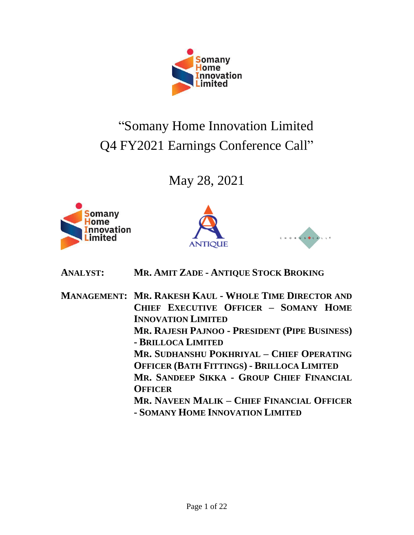

# "Somany Home Innovation Limited Q4 FY2021 Earnings Conference Call"

# May 28, 2021







**ANALYST: MR. AMIT ZADE - ANTIQUE STOCK BROKING**

**MANAGEMENT: MR. RAKESH KAUL - WHOLE TIME DIRECTOR AND CHIEF EXECUTIVE OFFICER – SOMANY HOME INNOVATION LIMITED MR. RAJESH PAJNOO - PRESIDENT (PIPE BUSINESS) - BRILLOCA LIMITED MR. SUDHANSHU POKHRIYAL – CHIEF OPERATING OFFICER (BATH FITTINGS) - BRILLOCA LIMITED MR. SANDEEP SIKKA - GROUP CHIEF FINANCIAL OFFICER MR. NAVEEN MALIK – CHIEF FINANCIAL OFFICER - SOMANY HOME INNOVATION LIMITED**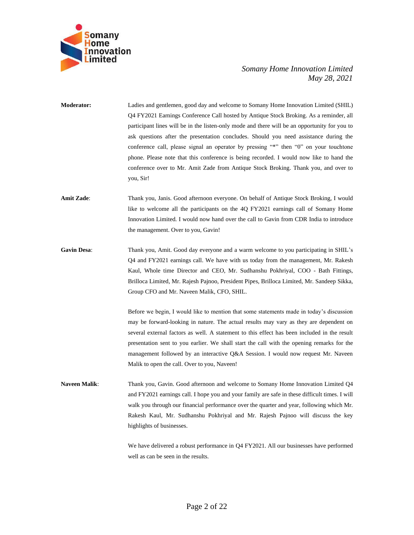

**Moderator:** Ladies and gentlemen, good day and welcome to Somany Home Innovation Limited (SHIL) Q4 FY2021 Earnings Conference Call hosted by Antique Stock Broking. As a reminder, all participant lines will be in the listen-only mode and there will be an opportunity for you to ask questions after the presentation concludes. Should you need assistance during the conference call, please signal an operator by pressing "\*" then "0" on your touchtone phone. Please note that this conference is being recorded. I would now like to hand the conference over to Mr. Amit Zade from Antique Stock Broking. Thank you, and over to you, Sir!

- **Amit Zade**: Thank you, Janis. Good afternoon everyone. On behalf of Antique Stock Broking, I would like to welcome all the participants on the 4Q FY2021 earnings call of Somany Home Innovation Limited. I would now hand over the call to Gavin from CDR India to introduce the management. Over to you, Gavin!
- **Gavin Desa**: Thank you, Amit. Good day everyone and a warm welcome to you participating in SHIL's Q4 and FY2021 earnings call. We have with us today from the management, Mr. Rakesh Kaul, Whole time Director and CEO, Mr. Sudhanshu Pokhriyal, COO - Bath Fittings, Brilloca Limited, Mr. Rajesh Pajnoo, President Pipes, Brilloca Limited, Mr. Sandeep Sikka, Group CFO and Mr. Naveen Malik, CFO, SHIL.

Before we begin, I would like to mention that some statements made in today's discussion may be forward-looking in nature. The actual results may vary as they are dependent on several external factors as well. A statement to this effect has been included in the result presentation sent to you earlier. We shall start the call with the opening remarks for the management followed by an interactive Q&A Session. I would now request Mr. Naveen Malik to open the call. Over to you, Naveen!

**Naveen Malik**: Thank you, Gavin. Good afternoon and welcome to Somany Home Innovation Limited Q4 and FY2021 earnings call. I hope you and your family are safe in these difficult times. I will walk you through our financial performance over the quarter and year, following which Mr. Rakesh Kaul, Mr. Sudhanshu Pokhriyal and Mr. Rajesh Pajnoo will discuss the key highlights of businesses.

> We have delivered a robust performance in Q4 FY2021. All our businesses have performed well as can be seen in the results.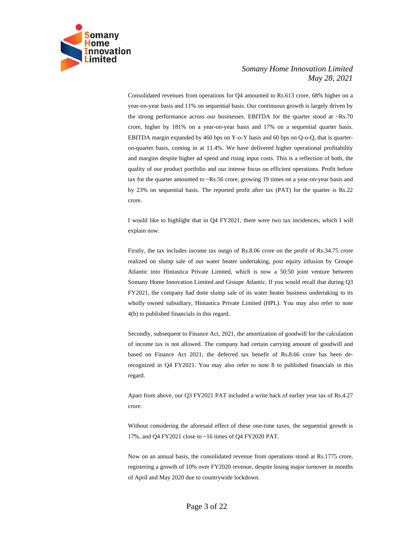

Consolidated revenues from operations for Q4 amounted to Rs.613 crore, 68% higher on a year-on-year basis and 11% on sequential basis. Our continuous growth is largely driven by the strong performance across our businesses. EBITDA for the quarter stood at  $\sim$ Rs.70 crore, higher by 181% on a year-on-year basis and 17% on a sequential quarter basis. EBITDA margin expanded by 460 bps on Y-o-Y basis and 60 bps on Q-o-Q, that is quarteron-quarter basis, coming in at 11.4%. We have delivered higher operational profitability and margins despite higher ad spend and rising input costs. This is a reflection of both, the quality of our product portfolio and our intense focus on efficient operations. Profit before tax for the quarter amounted to ~Rs.56 crore, growing 19 times on a year-on-year basis and by 23% on sequential basis. The reported profit after tax (PAT) for the quarter is Rs.22 crore.

I would like to highlight that in Q4 FY2021, there were two tax incidences, which I will explain now.

Firstly, the tax includes income tax outgo of Rs.8.06 crore on the profit of Rs.34.75 crore realized on slump sale of our water heater undertaking, post equity infusion by Groupe Atlantic into Hintastica Private Limited, which is now a 50:50 joint venture between Somany Home Innovation Limited and Groupe Atlantic. If you would recall that during Q3 FY2021, the company had done slump sale of its water heater business undertaking to its wholly owned subsidiary, Hintastica Private Limited (HPL). You may also refer to note 4(b) to published financials in this regard.

Secondly, subsequent to Finance Act, 2021, the amortization of goodwill for the calculation of income tax is not allowed. The company had certain carrying amount of goodwill and based on Finance Act 2021, the deferred tax benefit of Rs.8.66 crore has been derecognized in Q4 FY2021. You may also refer to note 8 to published financials in this regard.

Apart from above, our Q3 FY2021 PAT included a write back of earlier year tax of Rs.4.27 crore.

Without considering the aforesaid effect of these one-time taxes, the sequential growth is 17%, and Q4 FY2021 close to ~16 times of Q4 FY2020 PAT.

Now on an annual basis, the consolidated revenue from operations stood at Rs.1775 crore, registering a growth of 10% over FY2020 revenue, despite losing major turnover in months of April and May 2020 due to countrywide lockdown.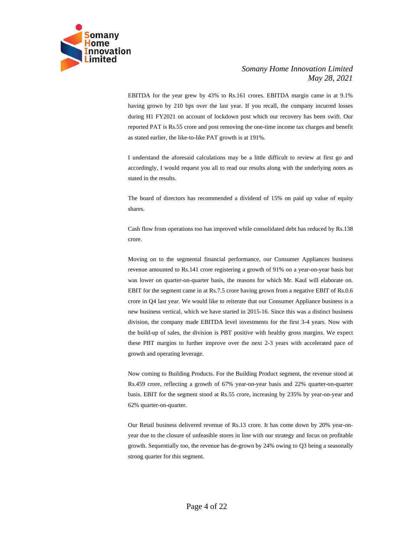

EBITDA for the year grew by 43% to Rs.161 crores. EBITDA margin came in at 9.1% having grown by 210 bps over the last year. If you recall, the company incurred losses during H1 FY2021 on account of lockdown post which our recovery has been swift. Our reported PAT is Rs.55 crore and post removing the one-time income tax charges and benefit as stated earlier, the like-to-like PAT growth is at 191%.

I understand the aforesaid calculations may be a little difficult to review at first go and accordingly, I would request you all to read our results along with the underlying notes as stated in the results.

The board of directors has recommended a dividend of 15% on paid up value of equity shares.

Cash flow from operations too has improved while consolidated debt has reduced by Rs.138 crore.

Moving on to the segmental financial performance, our Consumer Appliances business revenue amounted to Rs.141 crore registering a growth of 91% on a year-on-year basis but was lower on quarter-on-quarter basis, the reasons for which Mr. Kaul will elaborate on. EBIT for the segment came in at Rs.7.5 crore having grown from a negative EBIT of Rs.0.6 crore in Q4 last year. We would like to reiterate that our Consumer Appliance business is a new business vertical, which we have started in 2015-16. Since this was a distinct business division, the company made EBITDA level investments for the first 3-4 years. Now with the build-up of sales, the division is PBT positive with healthy gross margins. We expect these PBT margins to further improve over the next 2-3 years with accelerated pace of growth and operating leverage.

Now coming to Building Products. For the Building Product segment, the revenue stood at Rs.459 crore, reflecting a growth of 67% year-on-year basis and 22% quarter-on-quarter basis. EBIT for the segment stood at Rs.55 crore, increasing by 235% by year-on-year and 62% quarter-on-quarter.

Our Retail business delivered revenue of Rs.13 crore. It has come down by 20% year-onyear due to the closure of unfeasible stores in line with our strategy and focus on profitable growth. Sequentially too, the revenue has de-grown by 24% owing to Q3 being a seasonally strong quarter for this segment.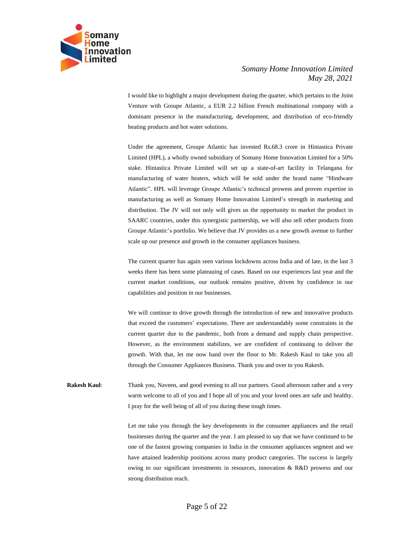

I would like to highlight a major development during the quarter, which pertains to the Joint Venture with Groupe Atlantic, a EUR 2.2 billion French multinational company with a dominant presence in the manufacturing, development, and distribution of eco-friendly heating products and hot water solutions.

Under the agreement, Groupe Atlantic has invested Rs.68.3 crore in Hintastica Private Limited (HPL), a wholly owned subsidiary of Somany Home Innovation Limited for a 50% stake. Hintastica Private Limited will set up a state-of-art facility in Telangana for manufacturing of water heaters, which will be sold under the brand name "Hindware Atlantic". HPL will leverage Groupe Atlantic's technical prowess and proven expertise in manufacturing as well as Somany Home Innovation Limited's strength in marketing and distribution. The JV will not only will gives us the opportunity to market the product in SAARC countries, under this synergistic partnership, we will also sell other products from Groupe Atlantic's portfolio. We believe that JV provides us a new growth avenue to further scale up our presence and growth in the consumer appliances business.

The current quarter has again seen various lockdowns across India and of late, in the last 3 weeks there has been some plateauing of cases. Based on our experiences last year and the current market conditions, our outlook remains positive, driven by confidence in our capabilities and position in our businesses.

We will continue to drive growth through the introduction of new and innovative products that exceed the customers' expectations. There are understandably some constraints in the current quarter due to the pandemic, both from a demand and supply chain perspective. However, as the environment stabilizes, we are confident of continuing to deliver the growth. With that, let me now hand over the floor to Mr. Rakesh Kaul to take you all through the Consumer Appliances Business. Thank you and over to you Rakesh.

**Rakesh Kaul:** Thank you, Naveen, and good evening to all our partners. Good afternoon rather and a very warm welcome to all of you and I hope all of you and your loved ones are safe and healthy. I pray for the well being of all of you during these tough times.

> Let me take you through the key developments in the consumer appliances and the retail businesses during the quarter and the year. I am pleased to say that we have continued to be one of the fastest growing companies in India in the consumer appliances segment and we have attained leadership positions across many product categories. The success is largely owing to our significant investments in resources, innovation & R&D prowess and our strong distribution reach.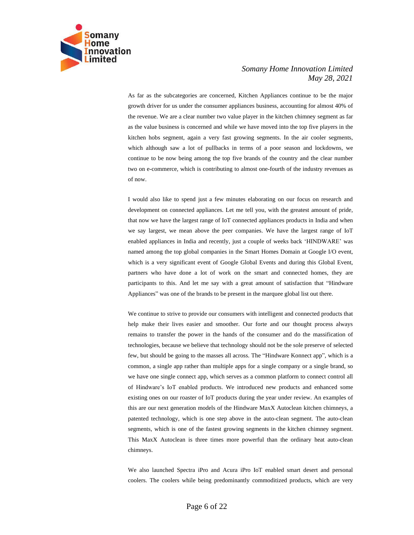

As far as the subcategories are concerned, Kitchen Appliances continue to be the major growth driver for us under the consumer appliances business, accounting for almost 40% of the revenue. We are a clear number two value player in the kitchen chimney segment as far as the value business is concerned and while we have moved into the top five players in the kitchen hobs segment, again a very fast growing segments. In the air cooler segments, which although saw a lot of pullbacks in terms of a poor season and lockdowns, we continue to be now being among the top five brands of the country and the clear number two on e-commerce, which is contributing to almost one-fourth of the industry revenues as of now.

I would also like to spend just a few minutes elaborating on our focus on research and development on connected appliances. Let me tell you, with the greatest amount of pride, that now we have the largest range of IoT connected appliances products in India and when we say largest, we mean above the peer companies. We have the largest range of IoT enabled appliances in India and recently, just a couple of weeks back 'HINDWARE' was named among the top global companies in the Smart Homes Domain at Google I/O event, which is a very significant event of Google Global Events and during this Global Event, partners who have done a lot of work on the smart and connected homes, they are participants to this. And let me say with a great amount of satisfaction that "Hindware Appliances" was one of the brands to be present in the marquee global list out there.

We continue to strive to provide our consumers with intelligent and connected products that help make their lives easier and smoother. Our forte and our thought process always remains to transfer the power in the hands of the consumer and do the massification of technologies, because we believe that technology should not be the sole preserve of selected few, but should be going to the masses all across. The "Hindware Konnect app", which is a common, a single app rather than multiple apps for a single company or a single brand, so we have one single connect app, which serves as a common platform to connect control all of Hindware's IoT enabled products. We introduced new products and enhanced some existing ones on our roaster of IoT products during the year under review. An examples of this are our next generation models of the Hindware MaxX Autoclean kitchen chimneys, a patented technology, which is one step above in the auto-clean segment. The auto-clean segments, which is one of the fastest growing segments in the kitchen chimney segment. This MaxX Autoclean is three times more powerful than the ordinary heat auto-clean chimneys.

We also launched Spectra iPro and Acura iPro IoT enabled smart desert and personal coolers. The coolers while being predominantly commoditized products, which are very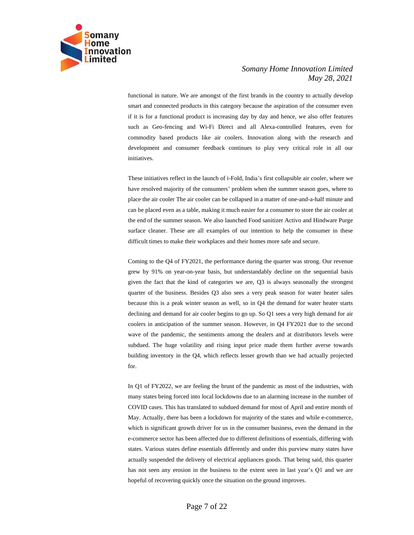

functional in nature. We are amongst of the first brands in the country to actually develop smart and connected products in this category because the aspiration of the consumer even if it is for a functional product is increasing day by day and hence, we also offer features such as Geo-fencing and Wi-Fi Direct and all Alexa-controlled features, even for commodity based products like air coolers. Innovation along with the research and development and consumer feedback continues to play very critical role in all our initiatives.

These initiatives reflect in the launch of i-Fold, India's first collapsible air cooler, where we have resolved majority of the consumers' problem when the summer season goes, where to place the air cooler The air cooler can be collapsed in a matter of one-and-a-half minute and can be placed even as a table, making it much easier for a consumer to store the air cooler at the end of the summer season. We also launched Food sanitizer Activo and Hindware Purge surface cleaner. These are all examples of our intention to help the consumer in these difficult times to make their workplaces and their homes more safe and secure.

Coming to the Q4 of FY2021, the performance during the quarter was strong. Our revenue grew by 91% on year-on-year basis, but understandably decline on the sequential basis given the fact that the kind of categories we are, Q3 is always seasonally the strongest quarter of the business. Besides Q3 also sees a very peak season for water heater sales because this is a peak winter season as well, so in Q4 the demand for water heater starts declining and demand for air cooler begins to go up. So Q1 sees a very high demand for air coolers in anticipation of the summer season. However, in Q4 FY2021 due to the second wave of the pandemic, the sentiments among the dealers and at distributors levels were subdued. The huge volatility and rising input price made them further averse towards building inventory in the Q4, which reflects lesser growth than we had actually projected for.

In Q1 of FY2022, we are feeling the brunt of the pandemic as most of the industries, with many states being forced into local lockdowns due to an alarming increase in the number of COVID cases. This has translated to subdued demand for most of April and entire month of May. Actually, there has been a lockdown for majority of the states and while e-commerce, which is significant growth driver for us in the consumer business, even the demand in the e-commerce sector has been affected due to different definitions of essentials, differing with states. Various states define essentials differently and under this purview many states have actually suspended the delivery of electrical appliances goods. That being said, this quarter has not seen any erosion in the business to the extent seen in last year's Q1 and we are hopeful of recovering quickly once the situation on the ground improves.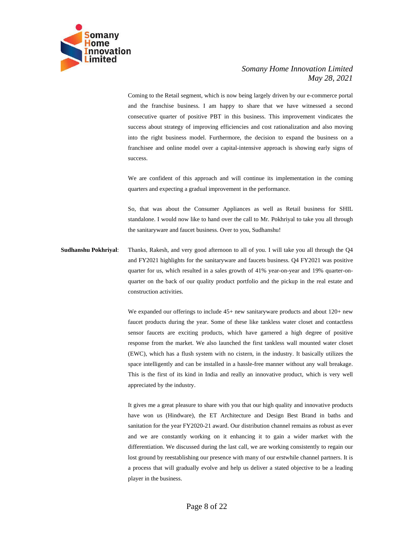

Coming to the Retail segment, which is now being largely driven by our e-commerce portal and the franchise business. I am happy to share that we have witnessed a second consecutive quarter of positive PBT in this business. This improvement vindicates the success about strategy of improving efficiencies and cost rationalization and also moving into the right business model. Furthermore, the decision to expand the business on a franchisee and online model over a capital-intensive approach is showing early signs of success.

We are confident of this approach and will continue its implementation in the coming quarters and expecting a gradual improvement in the performance.

So, that was about the Consumer Appliances as well as Retail business for SHIL standalone. I would now like to hand over the call to Mr. Pokhriyal to take you all through the sanitaryware and faucet business. Over to you, Sudhanshu!

**Sudhanshu Pokhriyal**: Thanks, Rakesh, and very good afternoon to all of you. I will take you all through the Q4 and FY2021 highlights for the sanitaryware and faucets business. Q4 FY2021 was positive quarter for us, which resulted in a sales growth of 41% year-on-year and 19% quarter-onquarter on the back of our quality product portfolio and the pickup in the real estate and construction activities.

> We expanded our offerings to include 45+ new sanitaryware products and about 120+ new faucet products during the year. Some of these like tankless water closet and contactless sensor faucets are exciting products, which have garnered a high degree of positive response from the market. We also launched the first tankless wall mounted water closet (EWC), which has a flush system with no cistern, in the industry. It basically utilizes the space intelligently and can be installed in a hassle-free manner without any wall breakage. This is the first of its kind in India and really an innovative product, which is very well appreciated by the industry.

> It gives me a great pleasure to share with you that our high quality and innovative products have won us (Hindware), the ET Architecture and Design Best Brand in baths and sanitation for the year FY2020-21 award. Our distribution channel remains as robust as ever and we are constantly working on it enhancing it to gain a wider market with the differentiation. We discussed during the last call, we are working consistently to regain our lost ground by reestablishing our presence with many of our erstwhile channel partners. It is a process that will gradually evolve and help us deliver a stated objective to be a leading player in the business.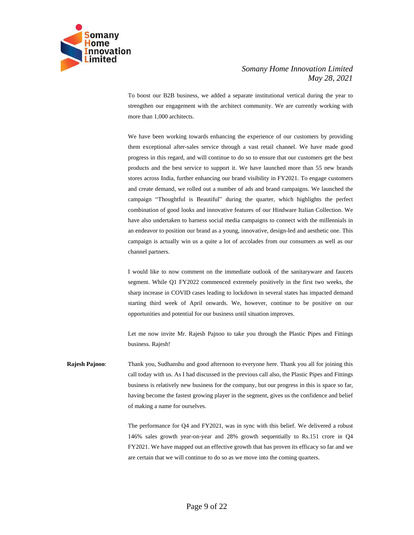

To boost our B2B business, we added a separate institutional vertical during the year to strengthen our engagement with the architect community. We are currently working with more than 1,000 architects.

We have been working towards enhancing the experience of our customers by providing them exceptional after-sales service through a vast retail channel. We have made good progress in this regard, and will continue to do so to ensure that our customers get the best products and the best service to support it. We have launched more than 55 new brands stores across India, further enhancing our brand visibility in FY2021. To engage customers and create demand, we rolled out a number of ads and brand campaigns. We launched the campaign "Thoughtful is Beautiful" during the quarter, which highlights the perfect combination of good looks and innovative features of our Hindware Italian Collection. We have also undertaken to harness social media campaigns to connect with the millennials in an endeavor to position our brand as a young, innovative, design-led and aesthetic one. This campaign is actually win us a quite a lot of accolades from our consumers as well as our channel partners.

I would like to now comment on the immediate outlook of the sanitaryware and faucets segment. While Q1 FY2022 commenced extremely positively in the first two weeks, the sharp increase in COVID cases leading to lockdown in several states has impacted demand starting third week of April onwards. We, however, continue to be positive on our opportunities and potential for our business until situation improves.

Let me now invite Mr. Rajesh Pajnoo to take you through the Plastic Pipes and Fittings business. Rajesh!

**Rajesh Pajnoo**: Thank you, Sudhanshu and good afternoon to everyone here. Thank you all for joining this call today with us. As I had discussed in the previous call also, the Plastic Pipes and Fittings business is relatively new business for the company, but our progress in this is space so far, having become the fastest growing player in the segment, gives us the confidence and belief of making a name for ourselves.

> The performance for Q4 and FY2021, was in sync with this belief. We delivered a robust 146% sales growth year-on-year and 28% growth sequentially to Rs.151 crore in Q4 FY2021. We have mapped out an effective growth that has proven its efficacy so far and we are certain that we will continue to do so as we move into the coming quarters.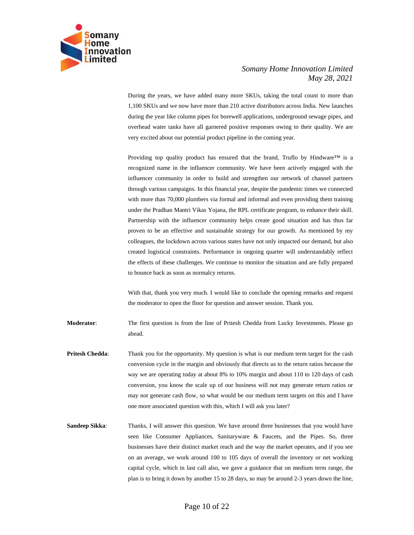

During the years, we have added many more SKUs, taking the total count to more than 1,100 SKUs and we now have more than 210 active distributors across India. New launches during the year like column pipes for borewell applications, underground sewage pipes, and overhead water tanks have all garnered positive responses owing to their quality. We are very excited about our potential product pipeline in the coming year.

Providing top quality product has ensured that the brand, Truflo by Hindware™ is a recognized name in the influencer community. We have been actively engaged with the influencer community in order to build and strengthen our network of channel partners through various campaigns. In this financial year, despite the pandemic times we connected with more than 70,000 plumbers via formal and informal and even providing them training under the Pradhan Mantri Vikas Yojana, the RPL certificate program, to enhance their skill. Partnership with the influencer community helps create good situation and has thus far proven to be an effective and sustainable strategy for our growth. As mentioned by my colleagues, the lockdown across various states have not only impacted our demand, but also created logistical constraints. Performance in ongoing quarter will understandably reflect the effects of these challenges. We continue to monitor the situation and are fully prepared to bounce back as soon as normalcy returns.

With that, thank you very much. I would like to conclude the opening remarks and request the moderator to open the floor for question and answer session. Thank you.

**Moderator**: The first question is from the line of Pritesh Chedda from Lucky Investments. Please go ahead.

- **Pritesh Chedda:** Thank you for the opportunity. My question is what is our medium term target for the cash conversion cycle in the margin and obviously that directs us to the return ratios because the way we are operating today at about 8% to 10% margin and about 110 to 120 days of cash conversion, you know the scale up of our business will not may generate return ratios or may not generate cash flow, so what would be our medium term targets on this and I have one more associated question with this, which I will ask you later?
- **Sandeep Sikka:** Thanks, I will answer this question. We have around three businesses that you would have seen like Consumer Appliances, Sanitaryware & Faucets, and the Pipes. So, three businesses have their distinct market reach and the way the market operates, and if you see on an average, we work around 100 to 105 days of overall the inventory or net working capital cycle, which in last call also, we gave a guidance that on medium term range, the plan is to bring it down by another 15 to 28 days, so may be around 2-3 years down the line,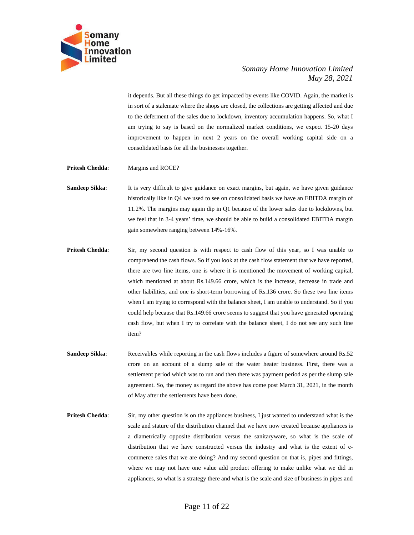

it depends. But all these things do get impacted by events like COVID. Again, the market is in sort of a stalemate where the shops are closed, the collections are getting affected and due to the deferment of the sales due to lockdown, inventory accumulation happens. So, what I am trying to say is based on the normalized market conditions, we expect 15-20 days improvement to happen in next 2 years on the overall working capital side on a consolidated basis for all the businesses together.

- **Pritesh Chedda:** Margins and ROCE?
- **Sandeep Sikka:** It is very difficult to give guidance on exact margins, but again, we have given guidance historically like in Q4 we used to see on consolidated basis we have an EBITDA margin of 11.2%. The margins may again dip in Q1 because of the lower sales due to lockdowns, but we feel that in 3-4 years' time, we should be able to build a consolidated EBITDA margin gain somewhere ranging between 14%-16%.
- **Pritesh Chedda:** Sir, my second question is with respect to cash flow of this year, so I was unable to comprehend the cash flows. So if you look at the cash flow statement that we have reported, there are two line items, one is where it is mentioned the movement of working capital, which mentioned at about Rs.149.66 crore, which is the increase, decrease in trade and other liabilities, and one is short-term borrowing of Rs.136 crore. So these two line items when I am trying to correspond with the balance sheet, I am unable to understand. So if you could help because that Rs.149.66 crore seems to suggest that you have generated operating cash flow, but when I try to correlate with the balance sheet, I do not see any such line item?
- **Sandeep Sikka:** Receivables while reporting in the cash flows includes a figure of somewhere around Rs.52 crore on an account of a slump sale of the water heater business. First, there was a settlement period which was to run and then there was payment period as per the slump sale agreement. So, the money as regard the above has come post March 31, 2021, in the month of May after the settlements have been done.
- **Pritesh Chedda:** Sir, my other question is on the appliances business, I just wanted to understand what is the scale and stature of the distribution channel that we have now created because appliances is a diametrically opposite distribution versus the sanitaryware, so what is the scale of distribution that we have constructed versus the industry and what is the extent of ecommerce sales that we are doing? And my second question on that is, pipes and fittings, where we may not have one value add product offering to make unlike what we did in appliances, so what is a strategy there and what is the scale and size of business in pipes and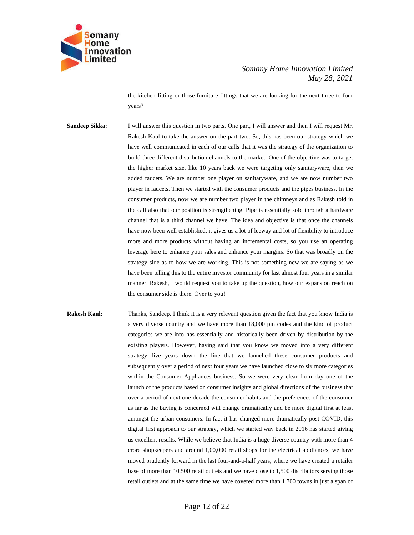

the kitchen fitting or those furniture fittings that we are looking for the next three to four years?

**Sandeep Sikka:** I will answer this question in two parts. One part, I will answer and then I will request Mr. Rakesh Kaul to take the answer on the part two. So, this has been our strategy which we have well communicated in each of our calls that it was the strategy of the organization to build three different distribution channels to the market. One of the objective was to target the higher market size, like 10 years back we were targeting only sanitaryware, then we added faucets. We are number one player on sanitaryware, and we are now number two player in faucets. Then we started with the consumer products and the pipes business. In the consumer products, now we are number two player in the chimneys and as Rakesh told in the call also that our position is strengthening. Pipe is essentially sold through a hardware channel that is a third channel we have. The idea and objective is that once the channels have now been well established, it gives us a lot of leeway and lot of flexibility to introduce more and more products without having an incremental costs, so you use an operating leverage here to enhance your sales and enhance your margins. So that was broadly on the strategy side as to how we are working. This is not something new we are saying as we have been telling this to the entire investor community for last almost four years in a similar manner. Rakesh, I would request you to take up the question, how our expansion reach on the consumer side is there. Over to you!

**Rakesh Kaul:** Thanks, Sandeep. I think it is a very relevant question given the fact that you know India is a very diverse country and we have more than 18,000 pin codes and the kind of product categories we are into has essentially and historically been driven by distribution by the existing players. However, having said that you know we moved into a very different strategy five years down the line that we launched these consumer products and subsequently over a period of next four years we have launched close to six more categories within the Consumer Appliances business. So we were very clear from day one of the launch of the products based on consumer insights and global directions of the business that over a period of next one decade the consumer habits and the preferences of the consumer as far as the buying is concerned will change dramatically and be more digital first at least amongst the urban consumers. In fact it has changed more dramatically post COVID, this digital first approach to our strategy, which we started way back in 2016 has started giving us excellent results. While we believe that India is a huge diverse country with more than 4 crore shopkeepers and around 1,00,000 retail shops for the electrical appliances, we have moved prudently forward in the last four-and-a-half years, where we have created a retailer base of more than 10,500 retail outlets and we have close to 1,500 distributors serving those retail outlets and at the same time we have covered more than 1,700 towns in just a span of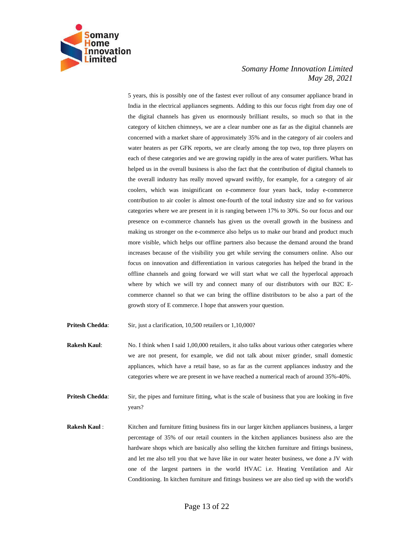

5 years, this is possibly one of the fastest ever rollout of any consumer appliance brand in India in the electrical appliances segments. Adding to this our focus right from day one of the digital channels has given us enormously brilliant results, so much so that in the category of kitchen chimneys, we are a clear number one as far as the digital channels are concerned with a market share of approximately 35% and in the category of air coolers and water heaters as per GFK reports, we are clearly among the top two, top three players on each of these categories and we are growing rapidly in the area of water purifiers. What has helped us in the overall business is also the fact that the contribution of digital channels to the overall industry has really moved upward swiftly, for example, for a category of air coolers, which was insignificant on e-commerce four years back, today e-commerce contribution to air cooler is almost one-fourth of the total industry size and so for various categories where we are present in it is ranging between 17% to 30%. So our focus and our presence on e-commerce channels has given us the overall growth in the business and making us stronger on the e-commerce also helps us to make our brand and product much more visible, which helps our offline partners also because the demand around the brand increases because of the visibility you get while serving the consumers online. Also our focus on innovation and differentiation in various categories has helped the brand in the offline channels and going forward we will start what we call the hyperlocal approach where by which we will try and connect many of our distributors with our B2C Ecommerce channel so that we can bring the offline distributors to be also a part of the growth story of E commerce. I hope that answers your question.

Pritesh Chedda: Sir, just a clarification, 10,500 retailers or 1,10,000?

**Rakesh Kaul:** No. I think when I said 1,00,000 retailers, it also talks about various other categories where we are not present, for example, we did not talk about mixer grinder, small domestic appliances, which have a retail base, so as far as the current appliances industry and the categories where we are present in we have reached a numerical reach of around 35%-40%.

**Pritesh Chedda:** Sir, the pipes and furniture fitting, what is the scale of business that you are looking in five years?

**Rakesh Kaul** : Kitchen and furniture fitting business fits in our larger kitchen appliances business, a larger percentage of 35% of our retail counters in the kitchen appliances business also are the hardware shops which are basically also selling the kitchen furniture and fittings business, and let me also tell you that we have like in our water heater business, we done a JV with one of the largest partners in the world HVAC i.e. Heating Ventilation and Air Conditioning. In kitchen furniture and fittings business we are also tied up with the world's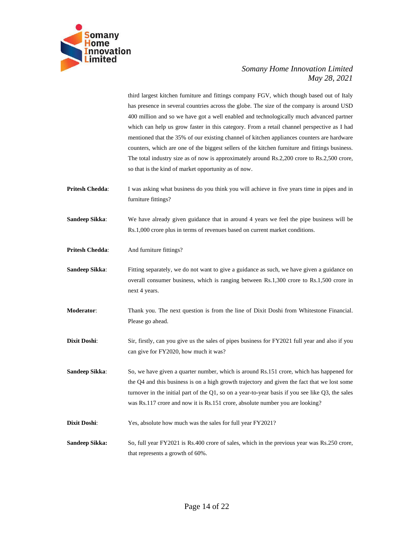

third largest kitchen furniture and fittings company FGV, which though based out of Italy has presence in several countries across the globe. The size of the company is around USD 400 million and so we have got a well enabled and technologically much advanced partner which can help us grow faster in this category. From a retail channel perspective as I had mentioned that the 35% of our existing channel of kitchen appliances counters are hardware counters, which are one of the biggest sellers of the kitchen furniture and fittings business. The total industry size as of now is approximately around Rs.2,200 crore to Rs.2,500 crore, so that is the kind of market opportunity as of now.

- **Pritesh Chedda:** I was asking what business do you think you will achieve in five years time in pipes and in furniture fittings?
- **Sandeep Sikka:** We have already given guidance that in around 4 years we feel the pipe business will be Rs.1,000 crore plus in terms of revenues based on current market conditions.
- **Pritesh Chedda:** And furniture fittings?
- **Sandeep Sikka:** Fitting separately, we do not want to give a guidance as such, we have given a guidance on overall consumer business, which is ranging between Rs.1,300 crore to Rs.1,500 crore in next 4 years.
- **Moderator**: Thank you. The next question is from the line of Dixit Doshi from Whitestone Financial. Please go ahead.
- **Dixit Doshi:** Sir, firstly, can you give us the sales of pipes business for FY2021 full year and also if you can give for FY2020, how much it was?
- **Sandeep Sikka:** So, we have given a quarter number, which is around Rs.151 crore, which has happened for the Q4 and this business is on a high growth trajectory and given the fact that we lost some turnover in the initial part of the Q1, so on a year-to-year basis if you see like Q3, the sales was Rs.117 crore and now it is Rs.151 crore, absolute number you are looking?
- **Dixit Doshi:** Yes, absolute how much was the sales for full year FY2021?
- **Sandeep Sikka:** So, full year FY2021 is Rs.400 crore of sales, which in the previous year was Rs.250 crore, that represents a growth of 60%.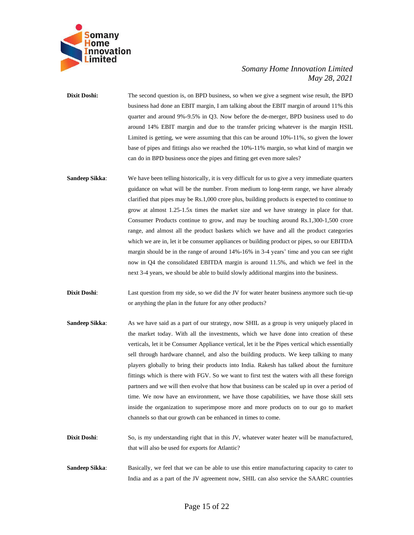

**Dixit Doshi:** The second question is, on BPD business, so when we give a segment wise result, the BPD business had done an EBIT margin, I am talking about the EBIT margin of around 11% this quarter and around 9%-9.5% in Q3. Now before the de-merger, BPD business used to do around 14% EBIT margin and due to the transfer pricing whatever is the margin HSIL Limited is getting, we were assuming that this can be around 10%-11%, so given the lower base of pipes and fittings also we reached the 10%-11% margin, so what kind of margin we can do in BPD business once the pipes and fitting get even more sales?

- **Sandeep Sikka:** We have been telling historically, it is very difficult for us to give a very immediate quarters guidance on what will be the number. From medium to long-term range, we have already clarified that pipes may be Rs.1,000 crore plus, building products is expected to continue to grow at almost 1.25-1.5x times the market size and we have strategy in place for that. Consumer Products continue to grow, and may be touching around Rs.1,300-1,500 crore range, and almost all the product baskets which we have and all the product categories which we are in, let it be consumer appliances or building product or pipes, so our EBITDA margin should be in the range of around 14%-16% in 3-4 years' time and you can see right now in Q4 the consolidated EBITDA margin is around 11.5%, and which we feel in the next 3-4 years, we should be able to build slowly additional margins into the business.
- **Dixit Doshi:** Last question from my side, so we did the JV for water heater business anymore such tie-up or anything the plan in the future for any other products?
- **Sandeep Sikka**: As we have said as a part of our strategy, now SHIL as a group is very uniquely placed in the market today. With all the investments, which we have done into creation of these verticals, let it be Consumer Appliance vertical, let it be the Pipes vertical which essentially sell through hardware channel, and also the building products. We keep talking to many players globally to bring their products into India. Rakesh has talked about the furniture fittings which is there with FGV. So we want to first test the waters with all these foreign partners and we will then evolve that how that business can be scaled up in over a period of time. We now have an environment, we have those capabilities, we have those skill sets inside the organization to superimpose more and more products on to our go to market channels so that our growth can be enhanced in times to come.
- **Dixit Doshi**: So, is my understanding right that in this JV, whatever water heater will be manufactured, that will also be used for exports for Atlantic?
- **Sandeep Sikka:** Basically, we feel that we can be able to use this entire manufacturing capacity to cater to India and as a part of the JV agreement now, SHIL can also service the SAARC countries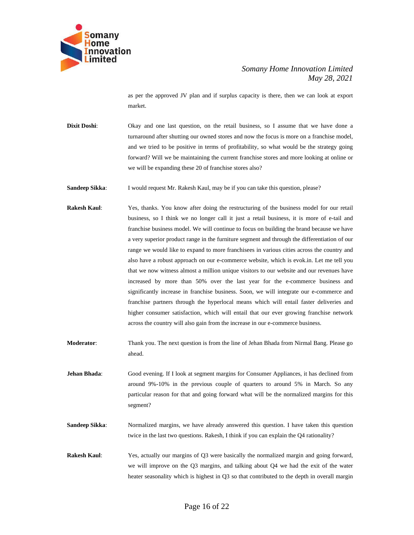

as per the approved JV plan and if surplus capacity is there, then we can look at export market.

**Dixit Doshi:** Okay and one last question, on the retail business, so I assume that we have done a turnaround after shutting our owned stores and now the focus is more on a franchise model, and we tried to be positive in terms of profitability, so what would be the strategy going forward? Will we be maintaining the current franchise stores and more looking at online or we will be expanding these 20 of franchise stores also?

**Sandeep Sikka:** I would request Mr. Rakesh Kaul, may be if you can take this question, please?

- **Rakesh Kaul**: Yes, thanks. You know after doing the restructuring of the business model for our retail business, so I think we no longer call it just a retail business, it is more of e-tail and franchise business model. We will continue to focus on building the brand because we have a very superior product range in the furniture segment and through the differentiation of our range we would like to expand to more franchisees in various cities across the country and also have a robust approach on our e-commerce website, which is evok.in. Let me tell you that we now witness almost a million unique visitors to our website and our revenues have increased by more than 50% over the last year for the e-commerce business and significantly increase in franchise business. Soon, we will integrate our e-commerce and franchise partners through the hyperlocal means which will entail faster deliveries and higher consumer satisfaction, which will entail that our ever growing franchise network across the country will also gain from the increase in our e-commerce business.
- **Moderator**: Thank you. The next question is from the line of Jehan Bhada from Nirmal Bang. Please go ahead.
- **Jehan Bhada**: Good evening. If I look at segment margins for Consumer Appliances, it has declined from around 9%-10% in the previous couple of quarters to around 5% in March. So any particular reason for that and going forward what will be the normalized margins for this segment?
- **Sandeep Sikka:** Normalized margins, we have already answered this question. I have taken this question twice in the last two questions. Rakesh, I think if you can explain the Q4 rationality?
- **Rakesh Kaul**: Yes, actually our margins of Q3 were basically the normalized margin and going forward, we will improve on the Q3 margins, and talking about Q4 we had the exit of the water heater seasonality which is highest in Q3 so that contributed to the depth in overall margin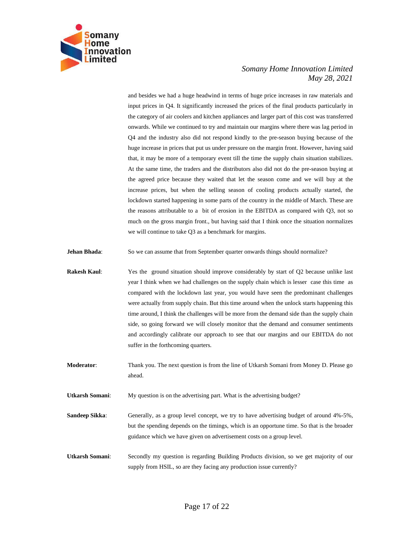

and besides we had a huge headwind in terms of huge price increases in raw materials and input prices in Q4. It significantly increased the prices of the final products particularly in the category of air coolers and kitchen appliances and larger part of this cost was transferred onwards. While we continued to try and maintain our margins where there was lag period in Q4 and the industry also did not respond kindly to the pre-season buying because of the huge increase in prices that put us under pressure on the margin front. However, having said that, it may be more of a temporary event till the time the supply chain situation stabilizes. At the same time, the traders and the distributors also did not do the pre-season buying at the agreed price because they waited that let the season come and we will buy at the increase prices, but when the selling season of cooling products actually started, the lockdown started happening in some parts of the country in the middle of March. These are the reasons attributable to a bit of erosion in the EBITDA as compared with Q3, not so much on the gross margin front., but having said that I think once the situation normalizes we will continue to take Q3 as a benchmark for margins.

**Jehan Bhada:** So we can assume that from September quarter onwards things should normalize?

- **Rakesh Kaul**: Yes the ground situation should improve considerably by start of Q2 because unlike last year I think when we had challenges on the supply chain which is lesser case this time as compared with the lockdown last year, you would have seen the predominant challenges were actually from supply chain. But this time around when the unlock starts happening this time around, I think the challenges will be more from the demand side than the supply chain side, so going forward we will closely monitor that the demand and consumer sentiments and accordingly calibrate our approach to see that our margins and our EBITDA do not suffer in the forthcoming quarters.
- **Moderator:** Thank you. The next question is from the line of Utkarsh Somani from Money D. Please go ahead.

**Utkarsh Somani**: My question is on the advertising part. What is the advertising budget?

**Sandeep Sikka:** Generally, as a group level concept, we try to have advertising budget of around 4%-5%, but the spending depends on the timings, which is an opportune time. So that is the broader guidance which we have given on advertisement costs on a group level.

**Utkarsh Somani**: Secondly my question is regarding Building Products division, so we get majority of our supply from HSIL, so are they facing any production issue currently?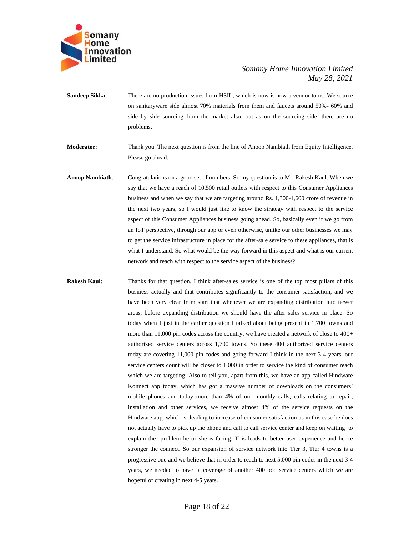

**Sandeep Sikka:** There are no production issues from HSIL, which is now is now a vendor to us. We source on sanitaryware side almost 70% materials from them and faucets around 50%- 60% and side by side sourcing from the market also, but as on the sourcing side, there are no problems.

**Moderator**: Thank you. The next question is from the line of Anoop Nambiath from Equity Intelligence. Please go ahead.

- **Anoop Nambiath**: Congratulations on a good set of numbers. So my question is to Mr. Rakesh Kaul. When we say that we have a reach of 10,500 retail outlets with respect to this Consumer Appliances business and when we say that we are targeting around Rs. 1,300-1,600 crore of revenue in the next two years, so I would just like to know the strategy with respect to the service aspect of this Consumer Appliances business going ahead. So, basically even if we go from an IoT perspective, through our app or even otherwise, unlike our other businesses we may to get the service infrastructure in place for the after-sale service to these appliances, that is what I understand. So what would be the way forward in this aspect and what is our current network and reach with respect to the service aspect of the business?
- **Rakesh Kaul**: Thanks for that question. I think after-sales service is one of the top most pillars of this business actually and that contributes significantly to the consumer satisfaction, and we have been very clear from start that whenever we are expanding distribution into newer areas, before expanding distribution we should have the after sales service in place. So today when I just in the earlier question I talked about being present in 1,700 towns and more than 11,000 pin codes across the country, we have created a network of close to 400+ authorized service centers across 1,700 towns. So these 400 authorized service centers today are covering 11,000 pin codes and going forward I think in the next 3-4 years, our service centers count will be closer to 1,000 in order to service the kind of consumer reach which we are targeting. Also to tell you, apart from this, we have an app called Hindware Konnect app today, which has got a massive number of downloads on the consumers' mobile phones and today more than 4% of our monthly calls, calls relating to repair, installation and other services, we receive almost 4% of the service requests on the Hindware app, which is leading to increase of consumer satisfaction as in this case he does not actually have to pick up the phone and call to call service center and keep on waiting to explain the problem he or she is facing. This leads to better user experience and hence stronger the connect. So our expansion of service network into Tier 3, Tier 4 towns is a progressive one and we believe that in order to reach to next 5,000 pin codes in the next 3-4 years, we needed to have a coverage of another 400 odd service centers which we are hopeful of creating in next 4-5 years.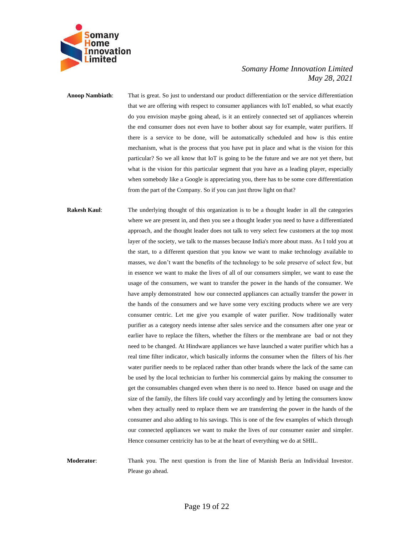

**Anoop Nambiath**: That is great. So just to understand our product differentiation or the service differentiation that we are offering with respect to consumer appliances with IoT enabled, so what exactly do you envision maybe going ahead, is it an entirely connected set of appliances wherein the end consumer does not even have to bother about say for example, water purifiers. If there is a service to be done, will be automatically scheduled and how is this entire mechanism, what is the process that you have put in place and what is the vision for this particular? So we all know that IoT is going to be the future and we are not yet there, but what is the vision for this particular segment that you have as a leading player, especially when somebody like a Google is appreciating you, there has to be some core differentiation from the part of the Company. So if you can just throw light on that?

**Rakesh Kaul:** The underlying thought of this organization is to be a thought leader in all the categories where we are present in, and then you see a thought leader you need to have a differentiated approach, and the thought leader does not talk to very select few customers at the top most layer of the society, we talk to the masses because India's more about mass. As I told you at the start, to a different question that you know we want to make technology available to masses, we don't want the benefits of the technology to be sole preserve of select few, but in essence we want to make the lives of all of our consumers simpler, we want to ease the usage of the consumers, we want to transfer the power in the hands of the consumer. We have amply demonstrated how our connected appliances can actually transfer the power in the hands of the consumers and we have some very exciting products where we are very consumer centric. Let me give you example of water purifier. Now traditionally water purifier as a category needs intense after sales service and the consumers after one year or earlier have to replace the filters, whether the filters or the membrane are bad or not they need to be changed. At Hindware appliances we have launched a water purifier which has a real time filter indicator, which basically informs the consumer when the filters of his /her water purifier needs to be replaced rather than other brands where the lack of the same can be used by the local technician to further his commercial gains by making the consumer to get the consumables changed even when there is no need to. Hence based on usage and the size of the family, the filters life could vary accordingly and by letting the consumers know when they actually need to replace them we are transferring the power in the hands of the consumer and also adding to his savings. This is one of the few examples of which through our connected appliances we want to make the lives of our consumer easier and simpler. Hence consumer centricity has to be at the heart of everything we do at SHIL.

**Moderator**: Thank you. The next question is from the line of Manish Beria an Individual Investor. Please go ahead.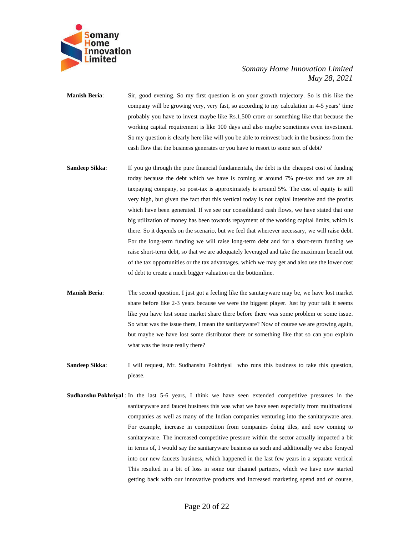

- **Manish Beria**: Sir, good evening. So my first question is on your growth trajectory. So is this like the company will be growing very, very fast, so according to my calculation in 4-5 years' time probably you have to invest maybe like Rs.1,500 crore or something like that because the working capital requirement is like 100 days and also maybe sometimes even investment. So my question is clearly here like will you be able to reinvest back in the business from the cash flow that the business generates or you have to resort to some sort of debt?
- **Sandeep Sikka:** If you go through the pure financial fundamentals, the debt is the cheapest cost of funding today because the debt which we have is coming at around 7% pre-tax and we are all taxpaying company, so post-tax is approximately is around 5%. The cost of equity is still very high, but given the fact that this vertical today is not capital intensive and the profits which have been generated. If we see our consolidated cash flows, we have stated that one big utilization of money has been towards repayment of the working capital limits, which is there. So it depends on the scenario, but we feel that wherever necessary, we will raise debt. For the long-term funding we will raise long-term debt and for a short-term funding we raise short-term debt, so that we are adequately leveraged and take the maximum benefit out of the tax opportunities or the tax advantages, which we may get and also use the lower cost of debt to create a much bigger valuation on the bottomline.
- **Manish Beria**: The second question, I just got a feeling like the sanitaryware may be, we have lost market share before like 2-3 years because we were the biggest player. Just by your talk it seems like you have lost some market share there before there was some problem or some issue. So what was the issue there, I mean the sanitaryware? Now of course we are growing again, but maybe we have lost some distributor there or something like that so can you explain what was the issue really there?
- **Sandeep Sikka**: I will request, Mr. Sudhanshu Pokhriyal who runs this business to take this question, please.
- **Sudhanshu Pokhriyal** : In the last 5-6 years, I think we have seen extended competitive pressures in the sanitaryware and faucet business this was what we have seen especially from multinational companies as well as many of the Indian companies venturing into the sanitaryware area. For example, increase in competition from companies doing tiles, and now coming to sanitaryware. The increased competitive pressure within the sector actually impacted a bit in terms of, I would say the sanitaryware business as such and additionally we also forayed into our new faucets business, which happened in the last few years in a separate vertical This resulted in a bit of loss in some our channel partners, which we have now started getting back with our innovative products and increased marketing spend and of course,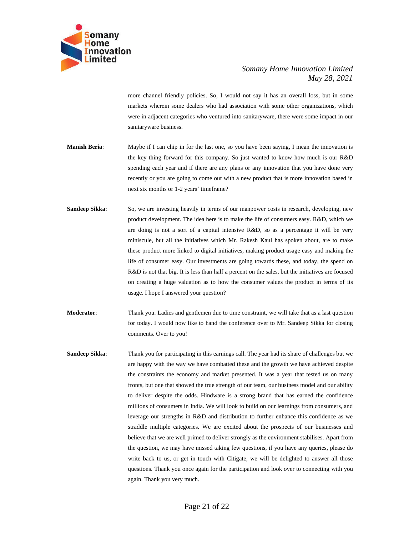

more channel friendly policies. So, I would not say it has an overall loss, but in some markets wherein some dealers who had association with some other organizations, which were in adjacent categories who ventured into sanitaryware, there were some impact in our sanitaryware business.

- **Manish Beria**: Maybe if I can chip in for the last one, so you have been saying, I mean the innovation is the key thing forward for this company. So just wanted to know how much is our R&D spending each year and if there are any plans or any innovation that you have done very recently or you are going to come out with a new product that is more innovation based in next six months or 1-2 years' timeframe?
- **Sandeep Sikka:** So, we are investing heavily in terms of our manpower costs in research, developing, new product development. The idea here is to make the life of consumers easy. R&D, which we are doing is not a sort of a capital intensive R&D, so as a percentage it will be very miniscule, but all the initiatives which Mr. Rakesh Kaul has spoken about, are to make these product more linked to digital initiatives, making product usage easy and making the life of consumer easy. Our investments are going towards these, and today, the spend on R&D is not that big. It is less than half a percent on the sales, but the initiatives are focused on creating a huge valuation as to how the consumer values the product in terms of its usage. I hope I answered your question?
- **Moderator**: Thank you. Ladies and gentlemen due to time constraint, we will take that as a last question for today. I would now like to hand the conference over to Mr. Sandeep Sikka for closing comments. Over to you!
- **Sandeep Sikka**: Thank you for participating in this earnings call. The year had its share of challenges but we are happy with the way we have combatted these and the growth we have achieved despite the constraints the economy and market presented. It was a year that tested us on many fronts, but one that showed the true strength of our team, our business model and our ability to deliver despite the odds. Hindware is a strong brand that has earned the confidence millions of consumers in India. We will look to build on our learnings from consumers, and leverage our strengths in R&D and distribution to further enhance this confidence as we straddle multiple categories. We are excited about the prospects of our businesses and believe that we are well primed to deliver strongly as the environment stabilises. Apart from the question, we may have missed taking few questions, if you have any queries, please do write back to us, or get in touch with Citigate, we will be delighted to answer all those questions. Thank you once again for the participation and look over to connecting with you again. Thank you very much.